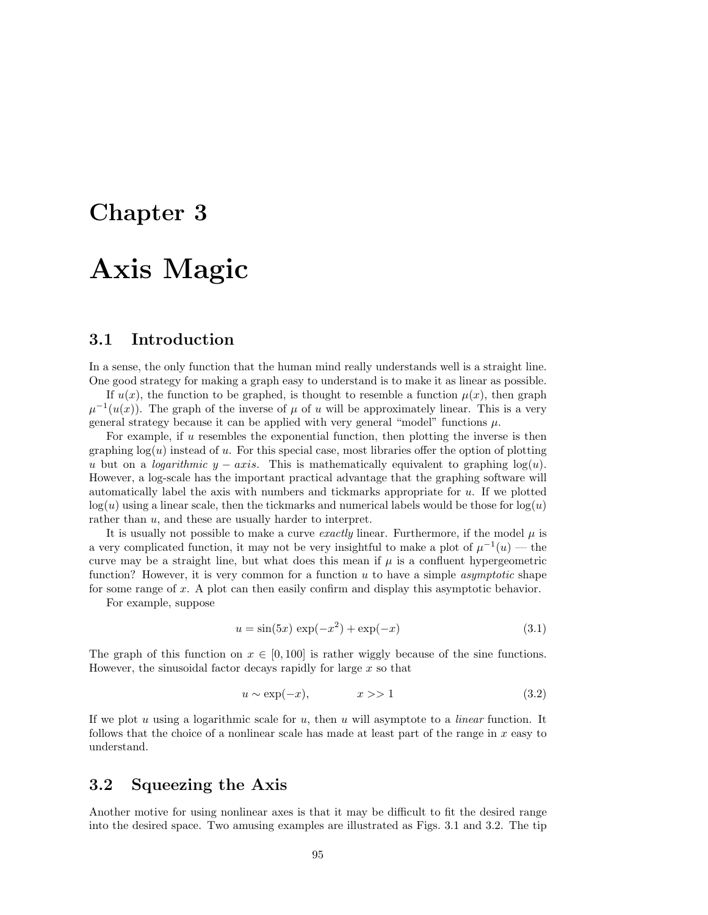# **Chapter 3**

# **Axis Magic**

# **3.1 Introduction**

In a sense, the only function that the human mind really understands well is a straight line. One good strategy for making a graph easy to understand is to make it as linear as possible.

If  $u(x)$ , the function to be graphed, is thought to resemble a function  $\mu(x)$ , then graph  $\mu^{-1}(u(x))$ . The graph of the inverse of  $\mu$  of *u* will be approximately linear. This is a very general strategy because it can be applied with very general "model" functions  $\mu$ .

For example, if *u* resembles the exponential function, then plotting the inverse is then graphing  $log(u)$  instead of  $u$ . For this special case, most libraries offer the option of plotting *u* but on a *logarithmic*  $y - axis$ *. This is mathematically equivalent to graphing*  $log(u)$ *.* However, a log-scale has the important practical advantage that the graphing software will automatically label the axis with numbers and tickmarks appropriate for *u*. If we plotted  $log(u)$  using a linear scale, then the tickmarks and numerical labels would be those for  $log(u)$ rather than *u*, and these are usually harder to interpret.

It is usually not possible to make a curve *exactly* linear. Furthermore, if the model  $\mu$  is a very complicated function, it may not be very insightful to make a plot of  $\mu^{-1}(u)$  — the curve may be a straight line, but what does this mean if  $\mu$  is a confluent hypergeometric function? However, it is very common for a function *u* to have a simple asymptotic shape for some range of *x*. A plot can then easily confirm and display this asymptotic behavior.

For example, suppose

$$
u = \sin(5x) \exp(-x^2) + \exp(-x)
$$
 (3.1)

The graph of this function on  $x \in [0, 100]$  is rather wiggly because of the sine functions. However, the sinusoidal factor decays rapidly for large *x* so that

$$
u \sim \exp(-x), \qquad x >> 1 \tag{3.2}
$$

If we plot *u* using a logarithmic scale for *u*, then *u* will asymptote to a linear function. It follows that the choice of a nonlinear scale has made at least part of the range in *x* easy to understand.

# **3.2 Squeezing the Axis**

Another motive for using nonlinear axes is that it may be difficult to fit the desired range into the desired space. Two amusing examples are illustrated as Figs. 3.1 and 3.2. The tip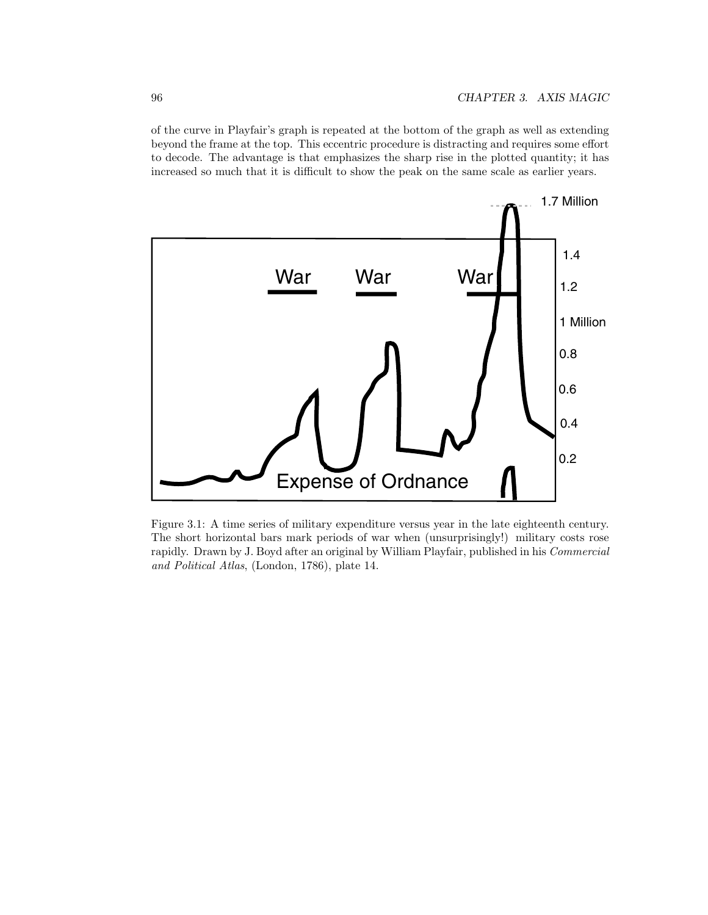of the curve in Playfair's graph is repeated at the bottom of the graph as well as extending beyond the frame at the top. This eccentric procedure is distracting and requires some effort to decode. The advantage is that emphasizes the sharp rise in the plotted quantity; it has increased so much that it is difficult to show the peak on the same scale as earlier years.



Figure 3.1: A time series of military expenditure versus year in the late eighteenth century. The short horizontal bars mark periods of war when (unsurprisingly!) military costs rose rapidly. Drawn by J. Boyd after an original by William Playfair, published in his Commercial and Political Atlas, (London, 1786), plate 14.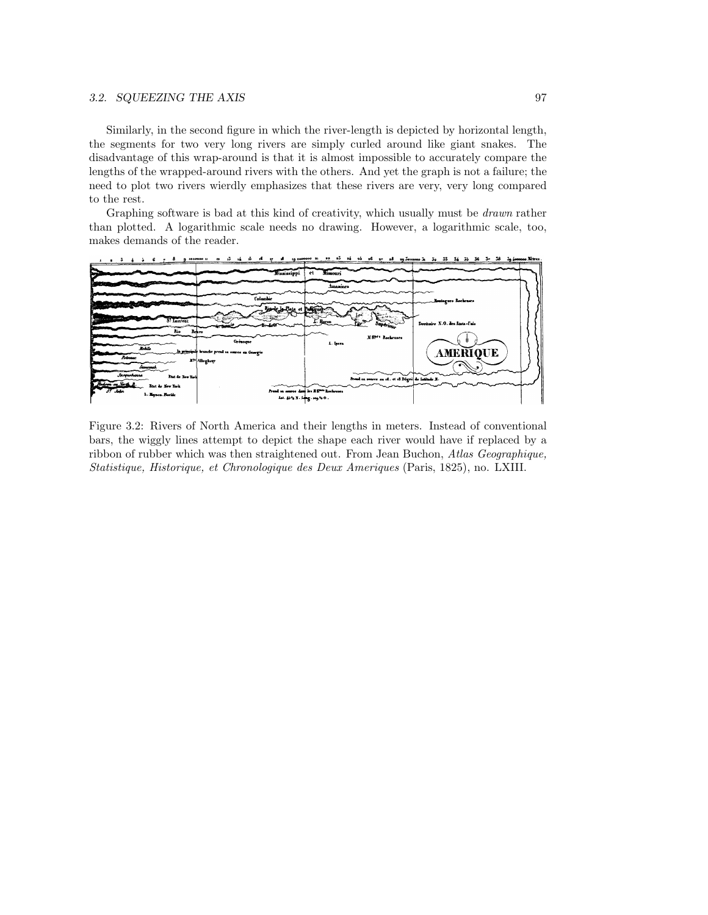#### **3.2. SQUEEZING THE AXIS** 97

Similarly, in the second figure in which the river-length is depicted by horizontal length, the segments for two very long rivers are simply curled around like giant snakes. The disadvantage of this wrap-around is that it is almost impossible to accurately compare the lengths of the wrapped-around rivers with the others. And yet the graph is not a failure; the need to plot two rivers wierdly emphasizes that these rivers are very, very long compared to the rest.

Graphing software is bad at this kind of creativity, which usually must be *drawn* rather than plotted. A logarithmic scale needs no drawing. However, a logarithmic scale, too, makes demands of the reader.



Figure 3.2: Rivers of North America and their lengths in meters. Instead of conventional bars, the wiggly lines attempt to depict the shape each river would have if replaced by a ribbon of rubber which was then straightened out. From Jean Buchon, Atlas Geographique, Statistique, Historique, et Chronologique des Deux Ameriques (Paris, 1825), no. LXIII.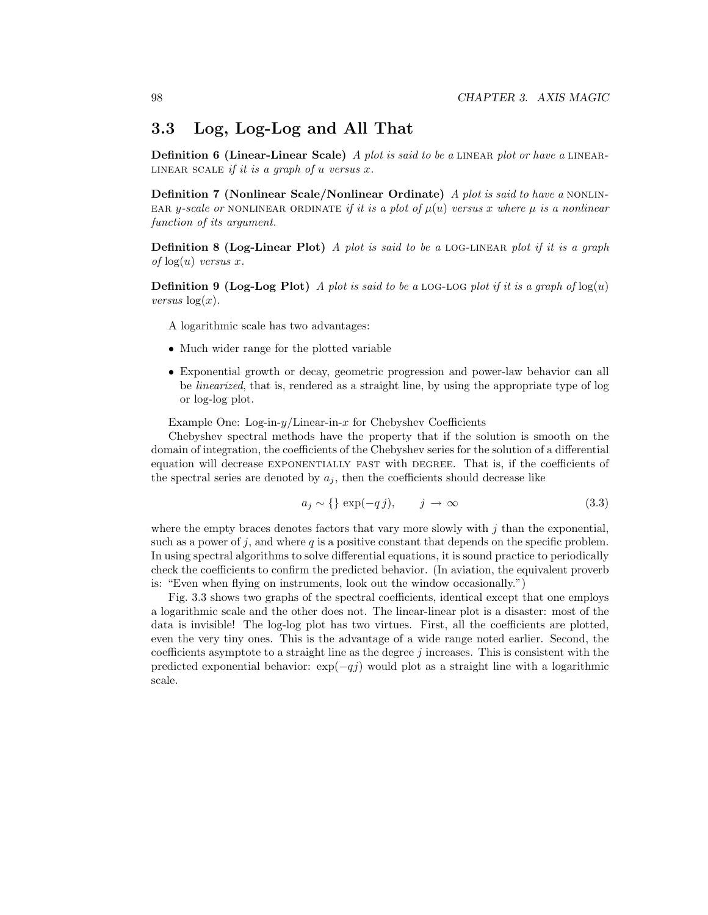# **3.3 Log, Log-Log and All That**

**Definition 6 (Linear-Linear Scale)** A plot is said to be a LINEAR plot or have a LINEAR-LINEAR SCALE if it is a graph of  $u$  versus  $x$ .

**Definition 7 (Nonlinear Scale/Nonlinear Ordinate)** A plot is said to have a NONLIN-EAR *y*-scale or NONLINEAR ORDINATE if it is a plot of  $\mu(u)$  versus *x* where  $\mu$  is a nonlinear function of its argument.

**Definition 8 (Log-Linear Plot)** A plot is said to be a LOG-LINEAR plot if it is a graph of log(*u*) versus *x*.

**Definition 9 (Log-Log Plot)** A plot is said to be a LOG-LOG plot if it is a graph of  $log(u)$ versus  $\log(x)$ .

A logarithmic scale has two advantages:

- Much wider range for the plotted variable
- Exponential growth or decay, geometric progression and power-law behavior can all be linearized, that is, rendered as a straight line, by using the appropriate type of log or log-log plot.

Example One: Log-in-*y*/Linear-in-*x* for Chebyshev Coefficients

Chebyshev spectral methods have the property that if the solution is smooth on the domain of integration, the coefficients of the Chebyshev series for the solution of a differential equation will decrease exponentially fast with degree. That is, if the coefficients of the spectral series are denoted by  $a_j$ , then the coefficients should decrease like

$$
a_j \sim \{\} \exp(-q j), \qquad j \to \infty \tag{3.3}
$$

where the empty braces denotes factors that vary more slowly with *j* than the exponential, such as a power of *j*, and where *q* is a positive constant that depends on the specific problem. In using spectral algorithms to solve differential equations, it is sound practice to periodically check the coefficients to confirm the predicted behavior. (In aviation, the equivalent proverb is: "Even when flying on instruments, look out the window occasionally.")

Fig. 3.3 shows two graphs of the spectral coefficients, identical except that one employs a logarithmic scale and the other does not. The linear-linear plot is a disaster: most of the data is invisible! The log-log plot has two virtues. First, all the coefficients are plotted, even the very tiny ones. This is the advantage of a wide range noted earlier. Second, the coefficients asymptote to a straight line as the degree *j* increases. This is consistent with the predicted exponential behavior: exp(−*qj*) would plot as a straight line with a logarithmic scale.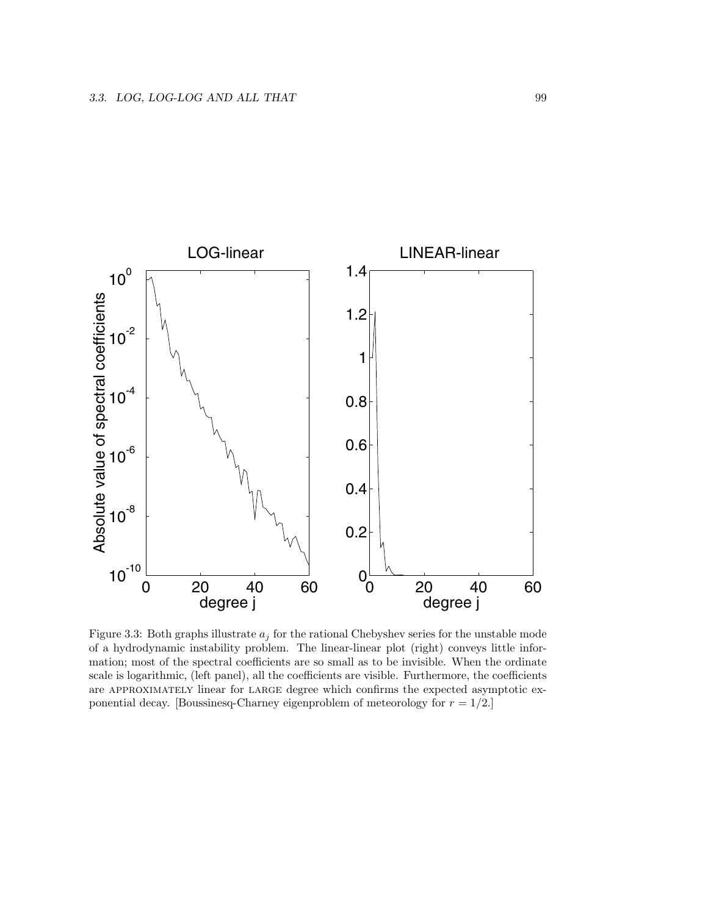

Figure 3.3: Both graphs illustrate  $a_j$  for the rational Chebyshev series for the unstable mode of a hydrodynamic instability problem. The linear-linear plot (right) conveys little information; most of the spectral coefficients are so small as to be invisible. When the ordinate scale is logarithmic, (left panel), all the coefficients are visible. Furthermore, the coefficients are approximately linear for large degree which confirms the expected asymptotic exponential decay. [Boussinesq-Charney eigenproblem of meteorology for *r* = 1*/*2.]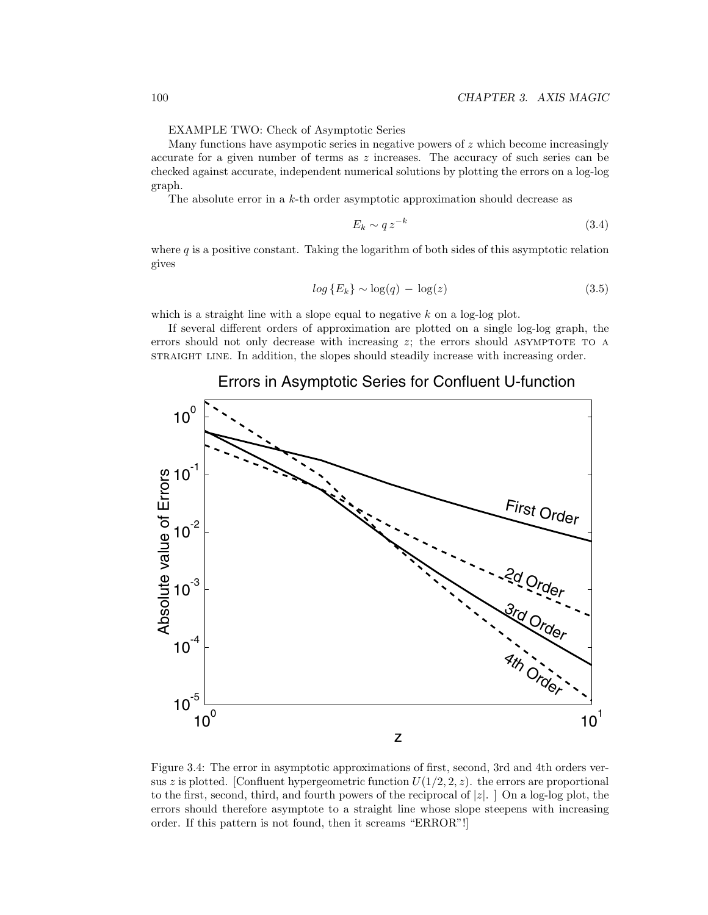EXAMPLE TWO: Check of Asymptotic Series

Many functions have asympotic series in negative powers of *z* which become increasingly accurate for a given number of terms as *z* increases. The accuracy of such series can be checked against accurate, independent numerical solutions by plotting the errors on a log-log graph.

The absolute error in a *k*-th order asymptotic approximation should decrease as

$$
E_k \sim q \, z^{-k} \tag{3.4}
$$

where  $q$  is a positive constant. Taking the logarithm of both sides of this asymptotic relation gives

$$
log\{E_k\} \sim log(q) - log(z)
$$
\n(3.5)

which is a straight line with a slope equal to negative *k* on a log-log plot.

If several different orders of approximation are plotted on a single log-log graph, the errors should not only decrease with increasing  $z$ ; the errors should ASYMPTOTE TO A straight line. In addition, the slopes should steadily increase with increasing order.



#### Errors in Asymptotic Series for Confluent U-function

Figure 3.4: The error in asymptotic approximations of first, second, 3rd and 4th orders versus *z* is plotted. [Confluent hypergeometric function  $U(1/2, 2, z)$ . the errors are proportional to the first, second, third, and fourth powers of the reciprocal of |*z*|. ] On a log-log plot, the errors should therefore asymptote to a straight line whose slope steepens with increasing order. If this pattern is not found, then it screams "ERROR"!]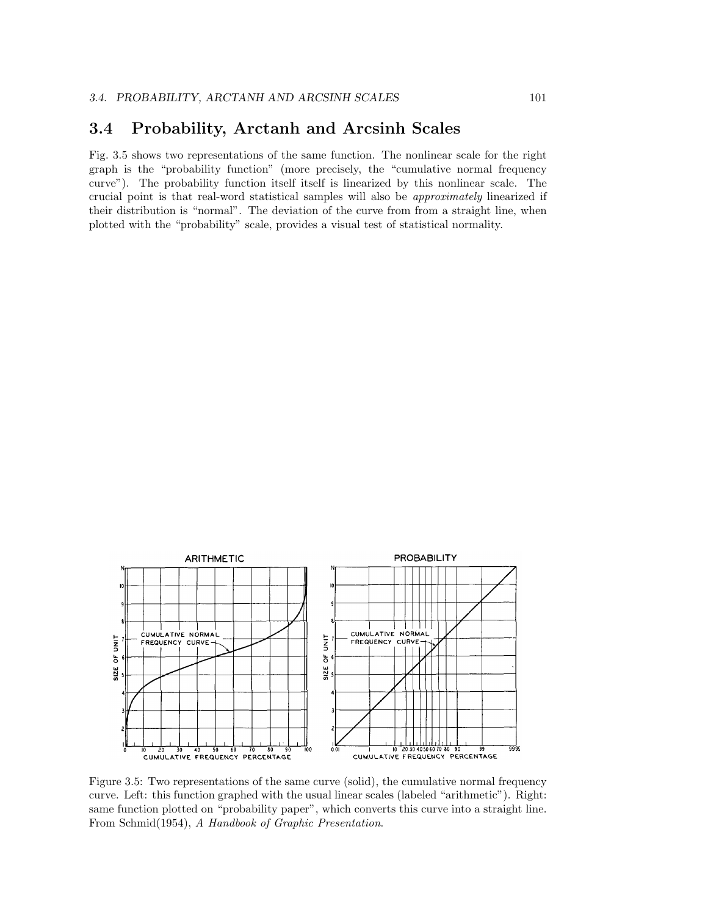# **3.4 Probability, Arctanh and Arcsinh Scales**

Fig. 3.5 shows two representations of the same function. The nonlinear scale for the right graph is the "probability function" (more precisely, the "cumulative normal frequency curve"). The probability function itself itself is linearized by this nonlinear scale. The crucial point is that real-word statistical samples will also be approximately linearized if their distribution is "normal". The deviation of the curve from from a straight line, when plotted with the "probability" scale, provides a visual test of statistical normality.



Figure 3.5: Two representations of the same curve (solid), the cumulative normal frequency curve. Left: this function graphed with the usual linear scales (labeled "arithmetic"). Right: same function plotted on "probability paper", which converts this curve into a straight line. From Schmid(1954), A Handbook of Graphic Presentation.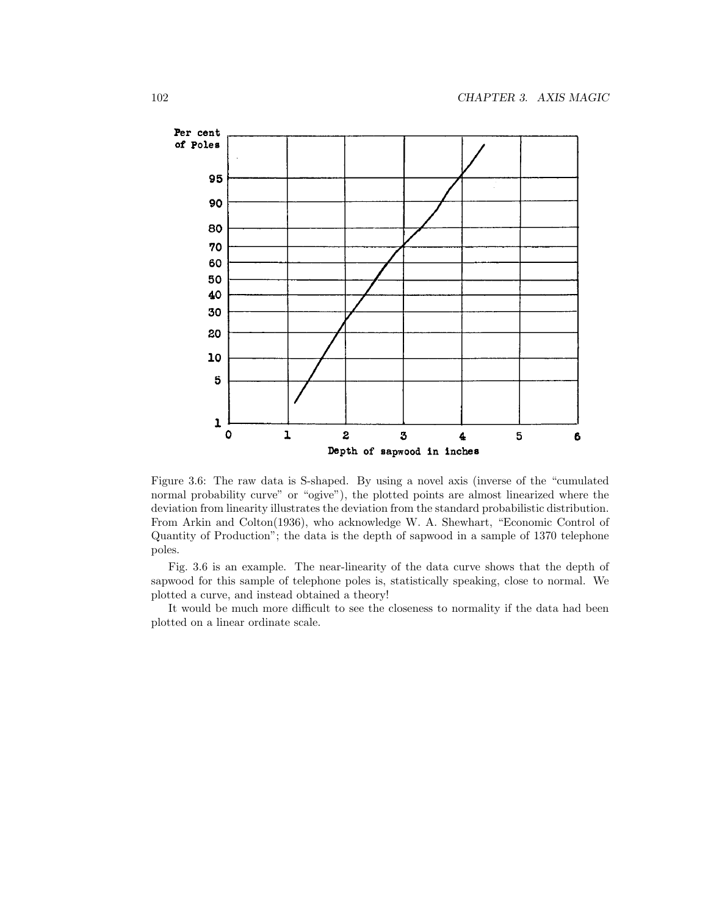

Figure 3.6: The raw data is S-shaped. By using a novel axis (inverse of the "cumulated normal probability curve" or "ogive"), the plotted points are almost linearized where the deviation from linearity illustrates the deviation from the standard probabilistic distribution. From Arkin and Colton(1936), who acknowledge W. A. Shewhart, "Economic Control of Quantity of Production"; the data is the depth of sapwood in a sample of 1370 telephone poles.

Fig. 3.6 is an example. The near-linearity of the data curve shows that the depth of sapwood for this sample of telephone poles is, statistically speaking, close to normal. We plotted a curve, and instead obtained a theory!

It would be much more difficult to see the closeness to normality if the data had been plotted on a linear ordinate scale.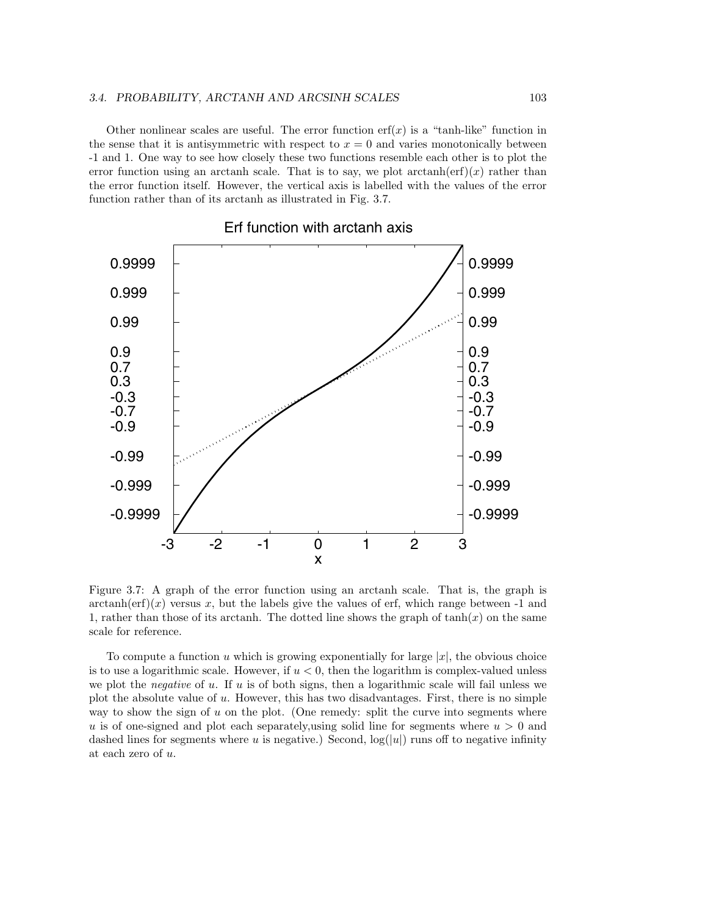Other nonlinear scales are useful. The error function  $\text{erf}(x)$  is a "tanh-like" function in the sense that it is antisymmetric with respect to  $x = 0$  and varies monotonically between -1 and 1. One way to see how closely these two functions resemble each other is to plot the error function using an arctanh scale. That is to say, we plot arctanh(erf)(*x*) rather than the error function itself. However, the vertical axis is labelled with the values of the error function rather than of its arctanh as illustrated in Fig. 3.7.



#### Erf function with arctanh axis

Figure 3.7: A graph of the error function using an arctanh scale. That is, the graph is  $arctanh(erf)(x)$  versus x, but the labels give the values of erf, which range between -1 and 1, rather than those of its arctanh. The dotted line shows the graph of  $tanh(x)$  on the same scale for reference.

To compute a function *u* which is growing exponentially for large  $|x|$ , the obvious choice is to use a logarithmic scale. However, if  $u < 0$ , then the logarithm is complex-valued unless we plot the negative of *u*. If *u* is of both signs, then a logarithmic scale will fail unless we plot the absolute value of *u*. However, this has two disadvantages. First, there is no simple way to show the sign of *u* on the plot. (One remedy: split the curve into segments where *u* is of one-signed and plot each separately,using solid line for segments where *u >* 0 and dashed lines for segments where *u* is negative.) Second,  $log(|u|)$  runs off to negative infinity at each zero of *u*.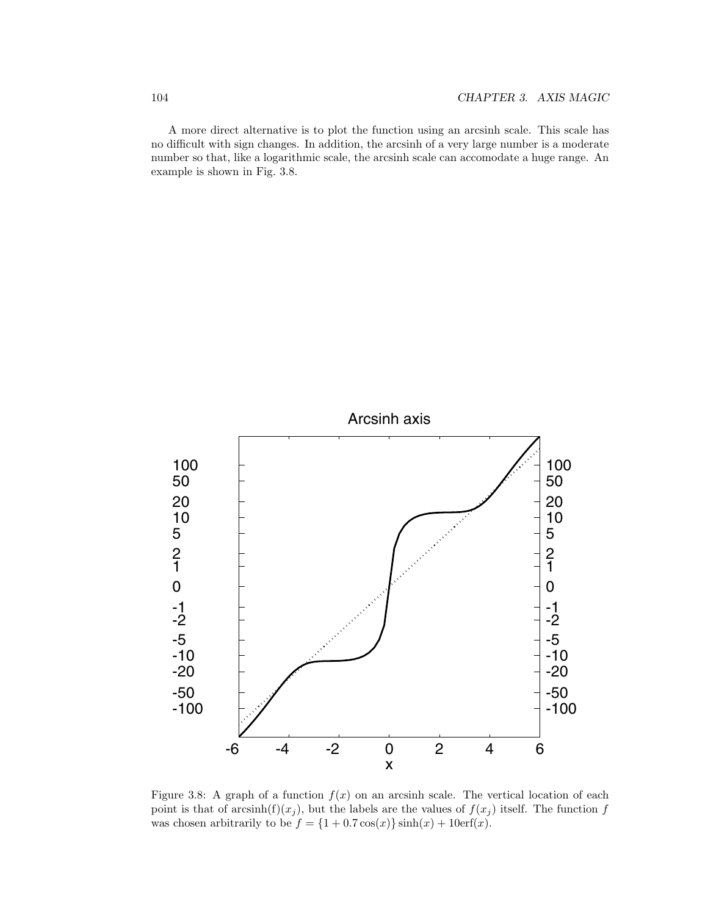A more direct alternative is to plot the function using an arcsinh scale. This scale has no difficult with sign changes. In addition, the arcsinh of a very large number is a moderate number so that, like a logarithmic scale, the arcsinh scale can accomodate a huge range. An example is shown in Fig. 3.8.



Figure 3.8: A graph of a function  $f(x)$  on an arcsinh scale. The vertical location of each point is that of arcsinh(f)( $x_j$ ), but the labels are the values of  $f(x_j)$  itself. The function  $f$ was chosen arbitrarily to be  $f = \{1 + 0.7 \cos(x)\}\sinh(x) + 10erf(x)$ .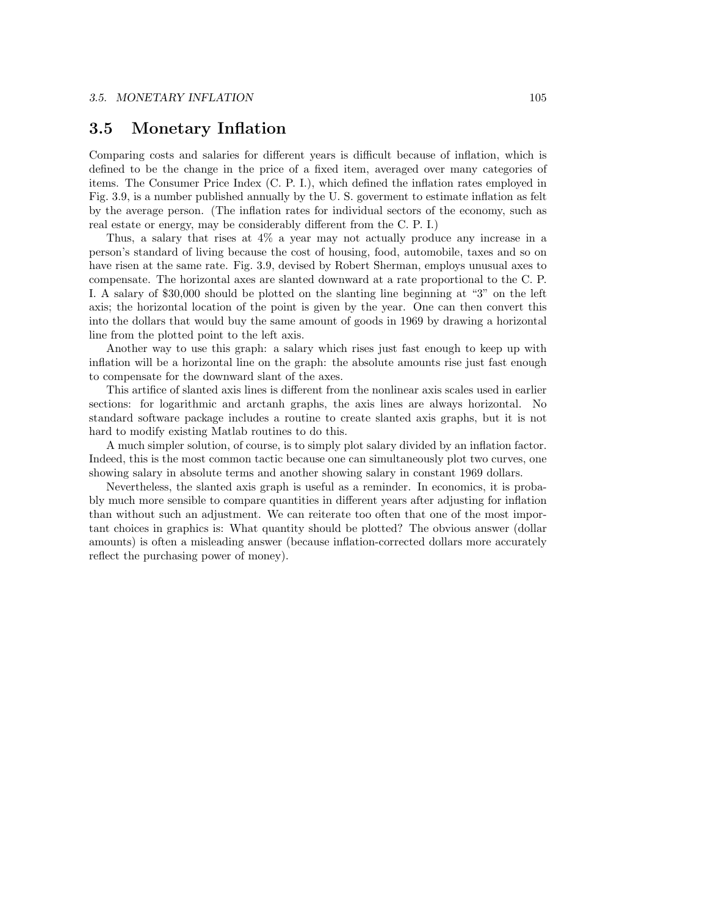## **3.5 Monetary Inflation**

Comparing costs and salaries for different years is difficult because of inflation, which is defined to be the change in the price of a fixed item, averaged over many categories of items. The Consumer Price Index (C. P. I.), which defined the inflation rates employed in Fig. 3.9, is a number published annually by the U. S. goverment to estimate inflation as felt by the average person. (The inflation rates for individual sectors of the economy, such as real estate or energy, may be considerably different from the C. P. I.)

Thus, a salary that rises at 4% a year may not actually produce any increase in a person's standard of living because the cost of housing, food, automobile, taxes and so on have risen at the same rate. Fig. 3.9, devised by Robert Sherman, employs unusual axes to compensate. The horizontal axes are slanted downward at a rate proportional to the C. P. I. A salary of \$30,000 should be plotted on the slanting line beginning at "3" on the left axis; the horizontal location of the point is given by the year. One can then convert this into the dollars that would buy the same amount of goods in 1969 by drawing a horizontal line from the plotted point to the left axis.

Another way to use this graph: a salary which rises just fast enough to keep up with inflation will be a horizontal line on the graph: the absolute amounts rise just fast enough to compensate for the downward slant of the axes.

This artifice of slanted axis lines is different from the nonlinear axis scales used in earlier sections: for logarithmic and arctanh graphs, the axis lines are always horizontal. No standard software package includes a routine to create slanted axis graphs, but it is not hard to modify existing Matlab routines to do this.

A much simpler solution, of course, is to simply plot salary divided by an inflation factor. Indeed, this is the most common tactic because one can simultaneously plot two curves, one showing salary in absolute terms and another showing salary in constant 1969 dollars.

Nevertheless, the slanted axis graph is useful as a reminder. In economics, it is probably much more sensible to compare quantities in different years after adjusting for inflation than without such an adjustment. We can reiterate too often that one of the most important choices in graphics is: What quantity should be plotted? The obvious answer (dollar amounts) is often a misleading answer (because inflation-corrected dollars more accurately reflect the purchasing power of money).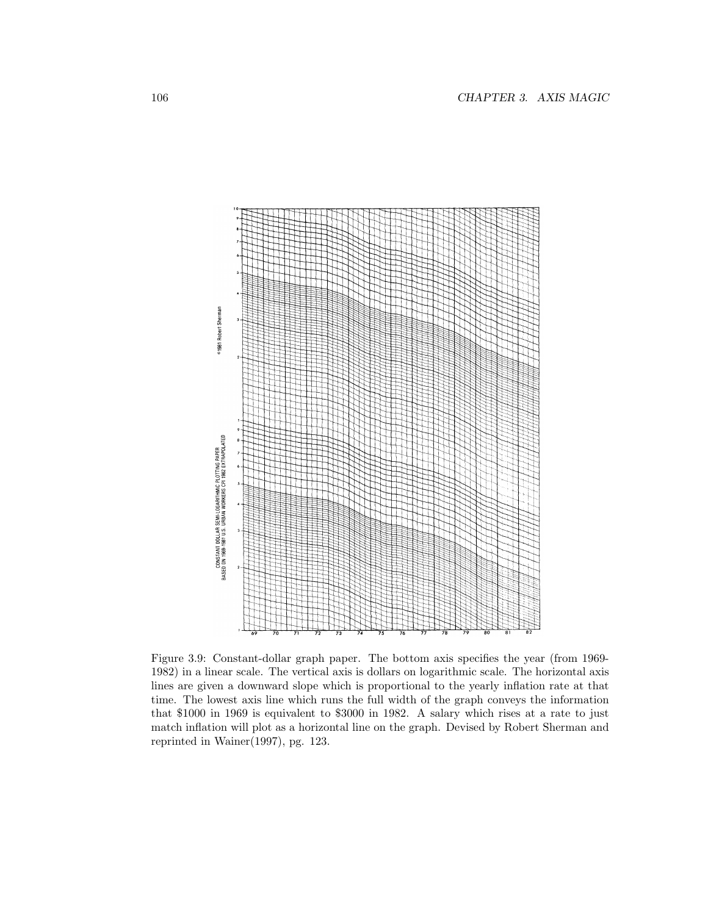

Figure 3.9: Constant-dollar graph paper. The bottom axis specifies the year (from 1969- 1982) in a linear scale. The vertical axis is dollars on logarithmic scale. The horizontal axis lines are given a downward slope which is proportional to the yearly inflation rate at that time. The lowest axis line which runs the full width of the graph conveys the information that \$1000 in 1969 is equivalent to \$3000 in 1982. A salary which rises at a rate to just match inflation will plot as a horizontal line on the graph. Devised by Robert Sherman and reprinted in Wainer(1997), pg. 123.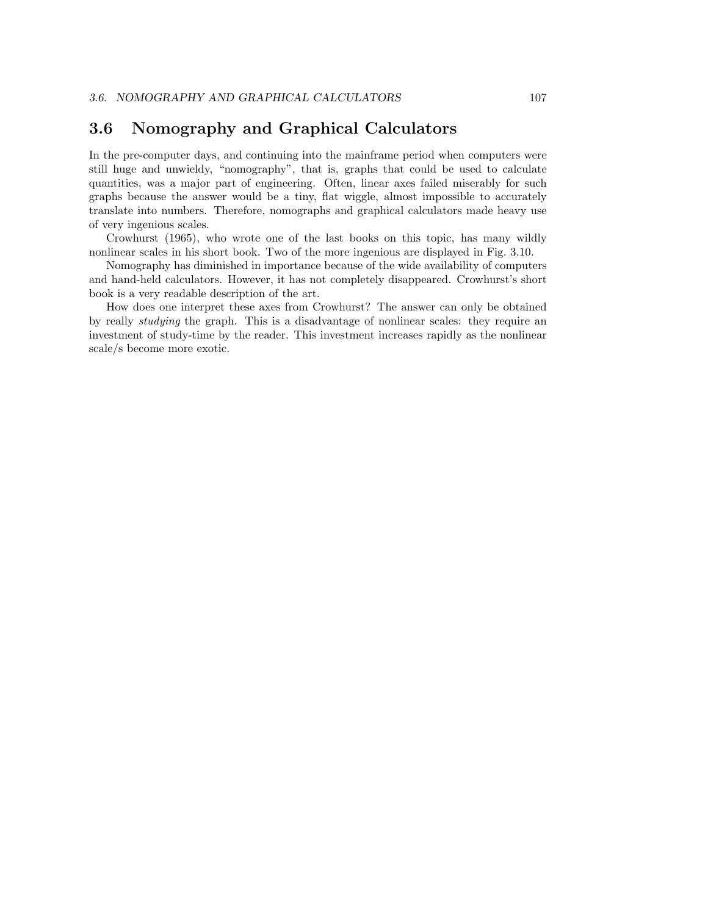## **3.6 Nomography and Graphical Calculators**

In the pre-computer days, and continuing into the mainframe period when computers were still huge and unwieldy, "nomography", that is, graphs that could be used to calculate quantities, was a major part of engineering. Often, linear axes failed miserably for such graphs because the answer would be a tiny, flat wiggle, almost impossible to accurately translate into numbers. Therefore, nomographs and graphical calculators made heavy use of very ingenious scales.

Crowhurst (1965), who wrote one of the last books on this topic, has many wildly nonlinear scales in his short book. Two of the more ingenious are displayed in Fig. 3.10.

Nomography has diminished in importance because of the wide availability of computers and hand-held calculators. However, it has not completely disappeared. Crowhurst's short book is a very readable description of the art.

How does one interpret these axes from Crowhurst? The answer can only be obtained by really studying the graph. This is a disadvantage of nonlinear scales: they require an investment of study-time by the reader. This investment increases rapidly as the nonlinear scale/s become more exotic.